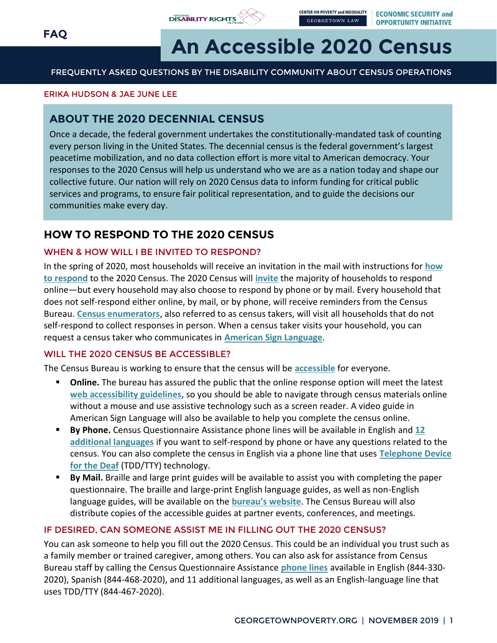

# **An Accessible 2020 Census**

### FREQUENTLY ASKED QUESTIONS BY THE DISABILITY COMMUNITY ABOUT CENSUS OPERATIONS

#### ERIKA HUDSON & JAE JUNE LEE

# **ABOUT THE 2020 DECENNIAL CENSUS**

Once a decade, the federal government undertakes the constitutionally-mandated task of counting every person living in the United States. The decennial census is the federal government's largest peacetime mobilization, and no data collection effort is more vital to American democracy. Your responses to the 2020 Census will help us understand who we are as a nation today and shape our collective future. Our nation will rely on 2020 Census data to inform funding for critical public services and programs, to ensure fair political representation, and to guide the decisions our communities make every day.

# **HOW TO RESPOND TO THE 2020 CENSUS**

### WHEN & HOW WILL I BE INVITED TO RESPOND?

In the spring of 2020, most households will receive an invitation in the mail with instructions for **[how](https://2020census.gov/en/ways-to-respond.html)  [to respond](https://2020census.gov/en/ways-to-respond.html)** to the 2020 Census. The 2020 Census will **[invite](https://www.census.gov/content/dam/Census/library/factsheets/2019/dec/how-census-invites-everyone.pdf)** the majority of households to respond online—but every household may also choose to respond by phone or by mail. Every household that does not self-respond either online, by mail, or by phone, will receive reminders from the Census Bureau. **[Census enumerators](https://www.census.gov/about/regions/atlanta/contact/identify.html)**, also referred to as census takers, will visit all households that do not self-respond to collect responses in person. When a census taker visits your household, you can request a census taker who communicates in **[American Sign Language](https://www.census.gov/library/fact-sheets/2019/dec/2020-census-accessible.html)**.

#### WILL THE 2020 CENSUS BE ACCESSIBLE?

The Census Bureau is working to ensure that the census will be **[accessible](https://www.census.gov/library/fact-sheets/2019/dec/2020-census-accessible.html)** for everyone.

- **Dhine.** The bureau has assured the public that the online response option will meet the latest **[web accessibility guidelines](https://www.w3.org/WAI/standards-guidelines/wcag/)**, so you should be able to navigate through census materials online without a mouse and use assistive technology such as a screen reader. A video guide in American Sign Language will also be available to help you complete the census online.
- **By Phone.** Census Questionnaire Assistance phone lines will be available in English and **[12](https://www.census.gov/programs-surveys/decennial-census/2020-census/planning-management/memo-series/2020-memo-2019_18.html)  [additional languages](https://www.census.gov/programs-surveys/decennial-census/2020-census/planning-management/memo-series/2020-memo-2019_18.html)** if you want to self-respond by phone or have any questions related to the census. You can also complete the census in English via a phone line that uses **[Telephone Device](https://www.nchearingloss.org/tty.htm)  [for the Deaf](https://www.nchearingloss.org/tty.htm)** (TDD/TTY) technology.
- **By Mail.** Braille and large print guides will be available to assist you with completing the paper questionnaire. The braille and large-print English language guides, as well as non-English language guides, will be available on the **[bureau's website](https://www.census.gov/programs-surveys/decennial-census/2020-census/planning-management/language-resources/language-guides.html)**. The Census Bureau will also distribute copies of the accessible guides at partner events, conferences, and meetings.

## IF DESIRED, CAN SOMEONE ASSIST ME IN FILLING OUT THE 2020 CENSUS?

You can ask someone to help you fill out the 2020 Census. This could be an individual you trust such as a family member or trained caregiver, among others. You can also ask for assistance from Census Bureau staff by calling the Census Questionnaire Assistance **[phone lines](https://www.census.gov/programs-surveys/decennial-census/2020-census/planning-management/memo-series/2020-memo-2019_18.html)** available in English (844-330- 2020), Spanish (844-468-2020), and 11 additional languages, as well as an English-language line that uses TDD/TTY (844-467-2020).